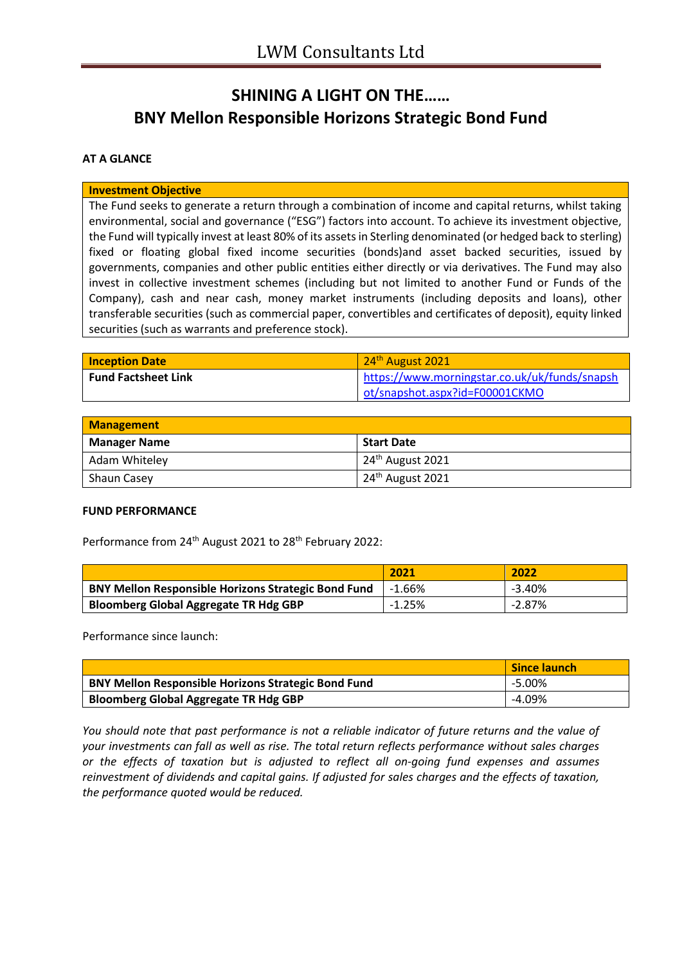# **SHINING A LIGHT ON THE…… BNY Mellon Responsible Horizons Strategic Bond Fund**

### **AT A GLANCE**

#### **Investment Objective**

The Fund seeks to generate a return through a combination of income and capital returns, whilst taking environmental, social and governance ("ESG") factors into account. To achieve its investment objective, the Fund will typically invest at least 80% of its assets in Sterling denominated (or hedged back to sterling) fixed or floating global fixed income securities (bonds)and asset backed securities, issued by governments, companies and other public entities either directly or via derivatives. The Fund may also invest in collective investment schemes (including but not limited to another Fund or Funds of the Company), cash and near cash, money market instruments (including deposits and loans), other transferable securities (such as commercial paper, convertibles and certificates of deposit), equity linked securities (such as warrants and preference stock).

| <b>Inception Date</b>      | $\frac{1}{2}$ 24 <sup>th</sup> August 2021    |
|----------------------------|-----------------------------------------------|
| <b>Fund Factsheet Link</b> | https://www.morningstar.co.uk/uk/funds/snapsh |
|                            | ot/snapshot.aspx?id=F00001CKMO                |

| <b>Management</b>   |                              |  |
|---------------------|------------------------------|--|
| <b>Manager Name</b> | <b>Start Date</b>            |  |
| Adam Whiteley       | 24 <sup>th</sup> August 2021 |  |
| <b>Shaun Casey</b>  | 24 <sup>th</sup> August 2021 |  |

### **FUND PERFORMANCE**

Performance from 24<sup>th</sup> August 2021 to 28<sup>th</sup> February 2022:

|                                                            | 2021     | 2022     |
|------------------------------------------------------------|----------|----------|
| <b>BNY Mellon Responsible Horizons Strategic Bond Fund</b> | -1.66%   | -3.40%   |
| <b>Bloomberg Global Aggregate TR Hdg GBP</b>               | $-1.25%$ | $-2.87%$ |

Performance since launch:

|                                                            | Since launch |
|------------------------------------------------------------|--------------|
| <b>BNY Mellon Responsible Horizons Strategic Bond Fund</b> | -5.00%       |
| <b>Bloomberg Global Aggregate TR Hdg GBP</b>               | -4.09%       |

*You should note that past performance is not a reliable indicator of future returns and the value of your investments can fall as well as rise. The total return reflects performance without sales charges or the effects of taxation but is adjusted to reflect all on-going fund expenses and assumes reinvestment of dividends and capital gains. If adjusted for sales charges and the effects of taxation, the performance quoted would be reduced.*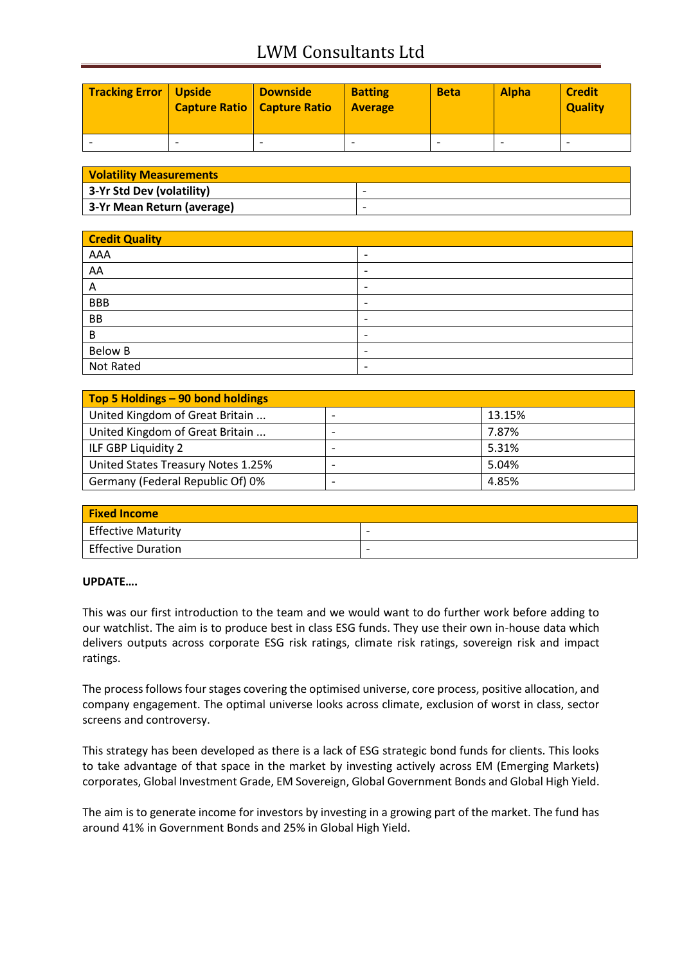# LWM Consultants Ltd

| <b>Tracking Error   Upside</b> | <b>Downside</b><br><b>Capture Ratio   Capture Ratio</b> | <b>Batting</b><br><b>Average</b> | <b>Beta</b> | Alpha | <b>Credit</b><br><b>Quality</b> |
|--------------------------------|---------------------------------------------------------|----------------------------------|-------------|-------|---------------------------------|
|                                | $\overline{\phantom{0}}$                                |                                  |             |       |                                 |

| <b>Volatility Measurements</b> |                          |
|--------------------------------|--------------------------|
| 3-Yr Std Dev (volatility)      | $\overline{\phantom{0}}$ |
| 3-Yr Mean Return (average)     |                          |

| <b>Credit Quality</b> |                          |  |
|-----------------------|--------------------------|--|
| AAA                   | $\overline{\phantom{a}}$ |  |
| AA                    | $\overline{\phantom{a}}$ |  |
| Α                     | $\overline{\phantom{a}}$ |  |
| <b>BBB</b>            | $\overline{\phantom{a}}$ |  |
| <b>BB</b>             | $\overline{\phantom{a}}$ |  |
| B                     | $\overline{\phantom{0}}$ |  |
| <b>Below B</b>        | $\overline{\phantom{a}}$ |  |
| Not Rated             | $\overline{\phantom{a}}$ |  |

| Top 5 Holdings - 90 bond holdings  |        |
|------------------------------------|--------|
| United Kingdom of Great Britain    | 13.15% |
| United Kingdom of Great Britain    | 7.87%  |
| ILF GBP Liquidity 2                | 5.31%  |
| United States Treasury Notes 1.25% | 5.04%  |
| Germany (Federal Republic Of) 0%   | 4.85%  |

| <b>Fixed Income</b>       |                          |
|---------------------------|--------------------------|
| <b>Effective Maturity</b> | $\overline{\phantom{0}}$ |
| Effective Duration        | $\overline{\phantom{0}}$ |

### **UPDATE….**

This was our first introduction to the team and we would want to do further work before adding to our watchlist. The aim is to produce best in class ESG funds. They use their own in-house data which delivers outputs across corporate ESG risk ratings, climate risk ratings, sovereign risk and impact ratings.

The process follows four stages covering the optimised universe, core process, positive allocation, and company engagement. The optimal universe looks across climate, exclusion of worst in class, sector screens and controversy.

This strategy has been developed as there is a lack of ESG strategic bond funds for clients. This looks to take advantage of that space in the market by investing actively across EM (Emerging Markets) corporates, Global Investment Grade, EM Sovereign, Global Government Bonds and Global High Yield.

The aim is to generate income for investors by investing in a growing part of the market. The fund has around 41% in Government Bonds and 25% in Global High Yield.